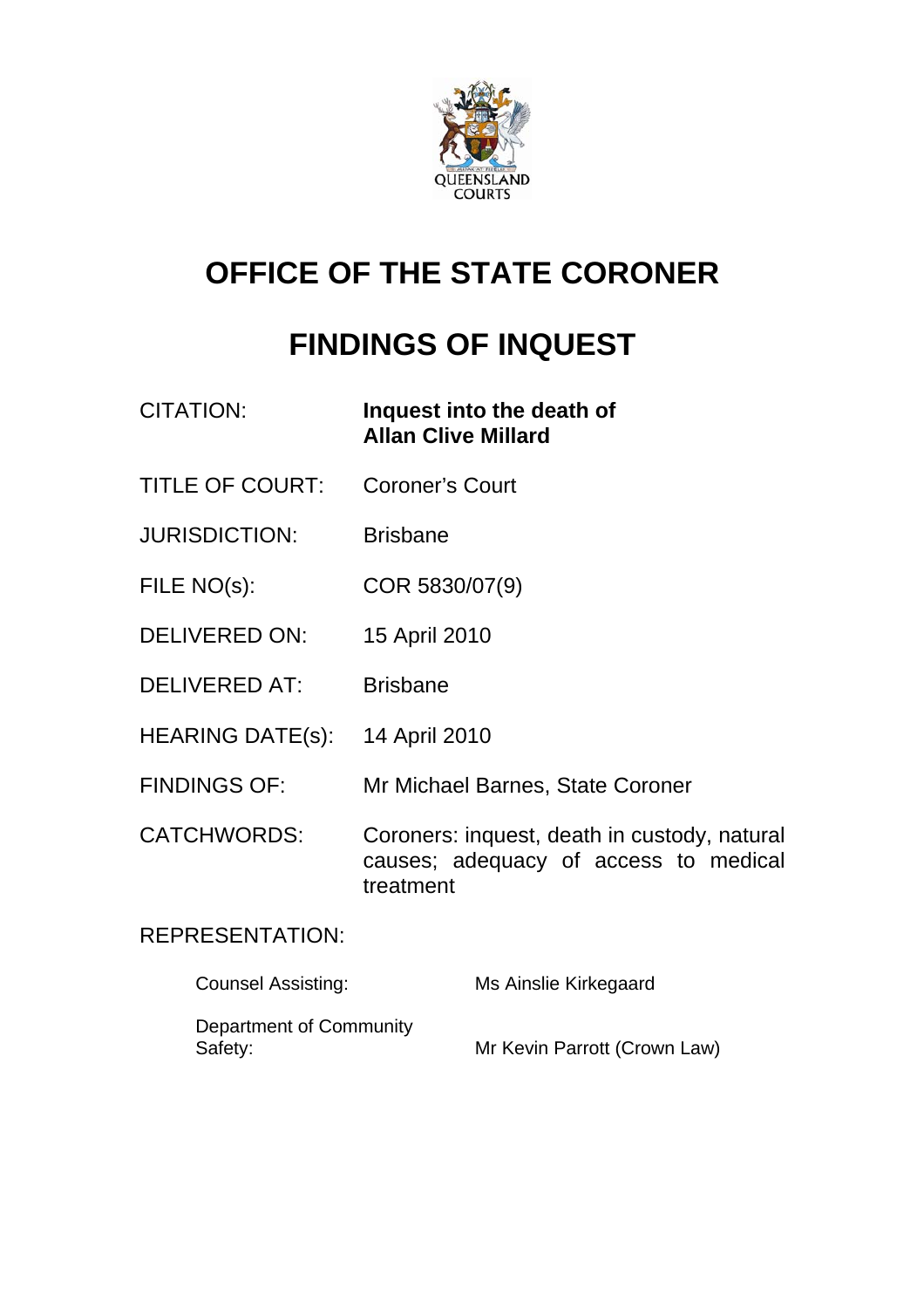

# **OFFICE OF THE STATE CORONER**

# **FINDINGS OF INQUEST**

| <b>CITATION:</b>        | Inquest into the death of<br><b>Allan Clive Millard</b>                                            |
|-------------------------|----------------------------------------------------------------------------------------------------|
| <b>TITLE OF COURT:</b>  | <b>Coroner's Court</b>                                                                             |
| <b>JURISDICTION:</b>    | <b>Brisbane</b>                                                                                    |
| FILE NO(s):             | COR 5830/07(9)                                                                                     |
| <b>DELIVERED ON:</b>    | 15 April 2010                                                                                      |
| <b>DELIVERED AT:</b>    | <b>Brisbane</b>                                                                                    |
| <b>HEARING DATE(s):</b> | 14 April 2010                                                                                      |
| <b>FINDINGS OF:</b>     | Mr Michael Barnes, State Coroner                                                                   |
| <b>CATCHWORDS:</b>      | Coroners: inquest, death in custody, natural<br>causes; adequacy of access to medical<br>treatment |

# REPRESENTATION:

| <b>Counsel Assisting:</b>          | Ms Ainslie Kirkegaard        |
|------------------------------------|------------------------------|
| Department of Community<br>Safety: | Mr Kevin Parrott (Crown Law) |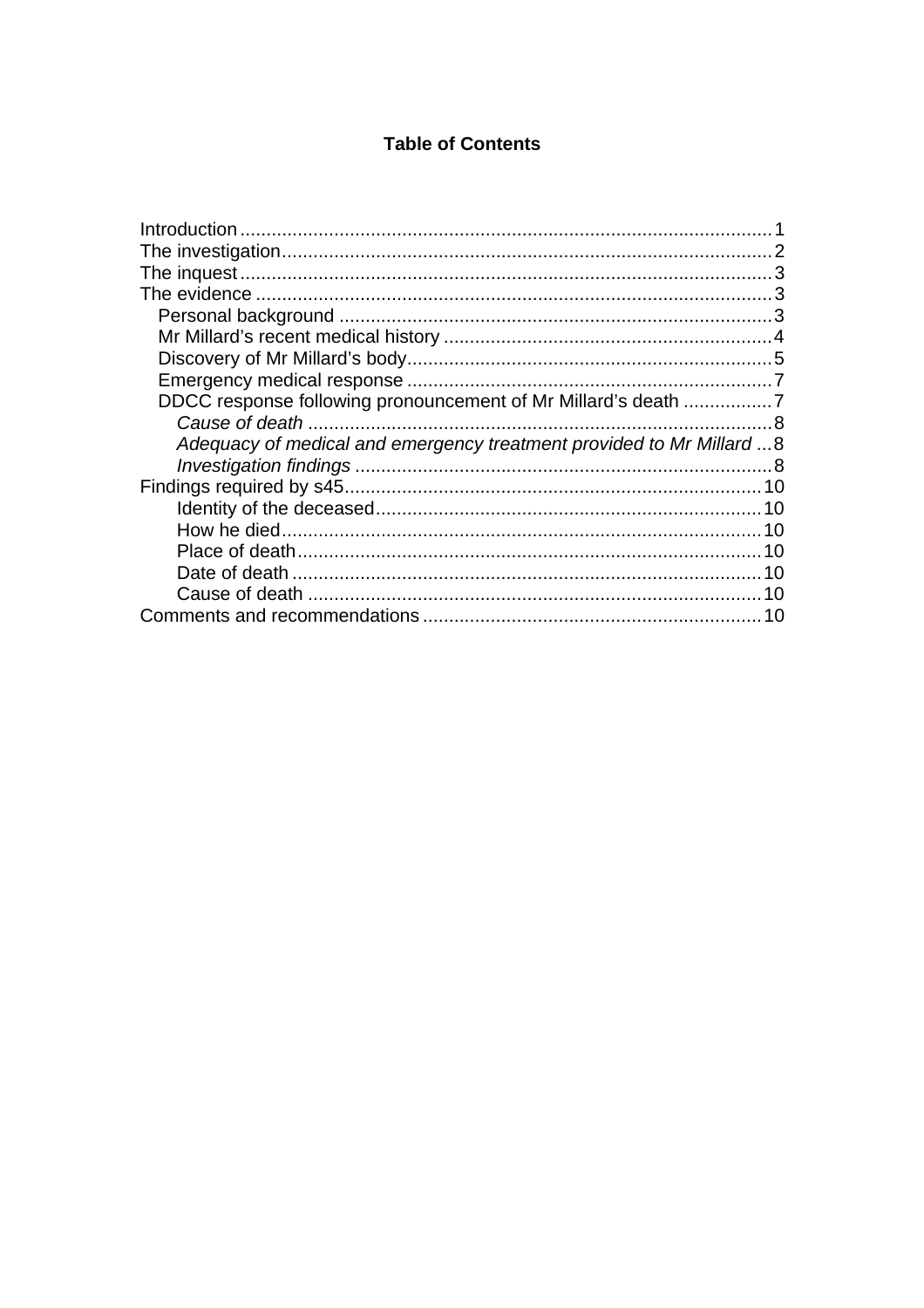#### **Table of Contents**

| DDCC response following pronouncement of Mr Millard's death 7        |  |
|----------------------------------------------------------------------|--|
|                                                                      |  |
| Adequacy of medical and emergency treatment provided to Mr Millard 8 |  |
|                                                                      |  |
|                                                                      |  |
|                                                                      |  |
|                                                                      |  |
|                                                                      |  |
|                                                                      |  |
|                                                                      |  |
|                                                                      |  |
|                                                                      |  |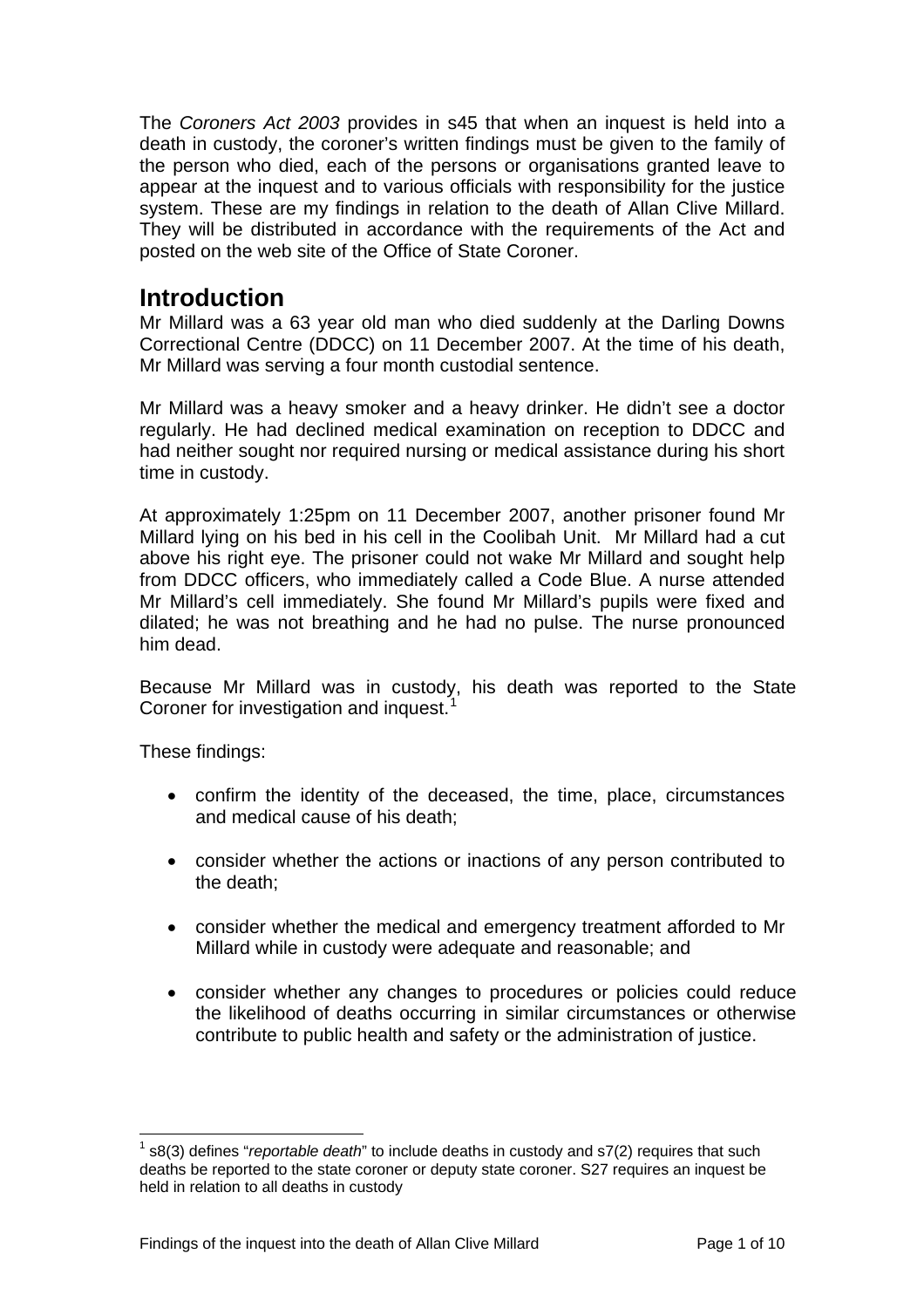<span id="page-2-0"></span>The *Coroners Act 2003* provides in s45 that when an inquest is held into a death in custody, the coroner's written findings must be given to the family of the person who died, each of the persons or organisations granted leave to appear at the inquest and to various officials with responsibility for the justice system. These are my findings in relation to the death of Allan Clive Millard. They will be distributed in accordance with the requirements of the Act and posted on the web site of the Office of State Coroner.

## **Introduction**

Mr Millard was a 63 year old man who died suddenly at the Darling Downs Correctional Centre (DDCC) on 11 December 2007. At the time of his death, Mr Millard was serving a four month custodial sentence.

Mr Millard was a heavy smoker and a heavy drinker. He didn't see a doctor regularly. He had declined medical examination on reception to DDCC and had neither sought nor required nursing or medical assistance during his short time in custody.

At approximately 1:25pm on 11 December 2007, another prisoner found Mr Millard lying on his bed in his cell in the Coolibah Unit. Mr Millard had a cut above his right eye. The prisoner could not wake Mr Millard and sought help from DDCC officers, who immediately called a Code Blue. A nurse attended Mr Millard's cell immediately. She found Mr Millard's pupils were fixed and dilated; he was not breathing and he had no pulse. The nurse pronounced him dead.

Because Mr Millard was in custody, his death was reported to the State Coroner for investigation and inquest.<sup>[1](#page-2-1)</sup>

These findings:

- confirm the identity of the deceased, the time, place, circumstances and medical cause of his death;
- consider whether the actions or inactions of any person contributed to the death;
- consider whether the medical and emergency treatment afforded to Mr Millard while in custody were adequate and reasonable; and
- consider whether any changes to procedures or policies could reduce the likelihood of deaths occurring in similar circumstances or otherwise contribute to public health and safety or the administration of justice.

<span id="page-2-1"></span>l 1 s8(3) defines "*reportable death*" to include deaths in custody and s7(2) requires that such deaths be reported to the state coroner or deputy state coroner. S27 requires an inquest be held in relation to all deaths in custody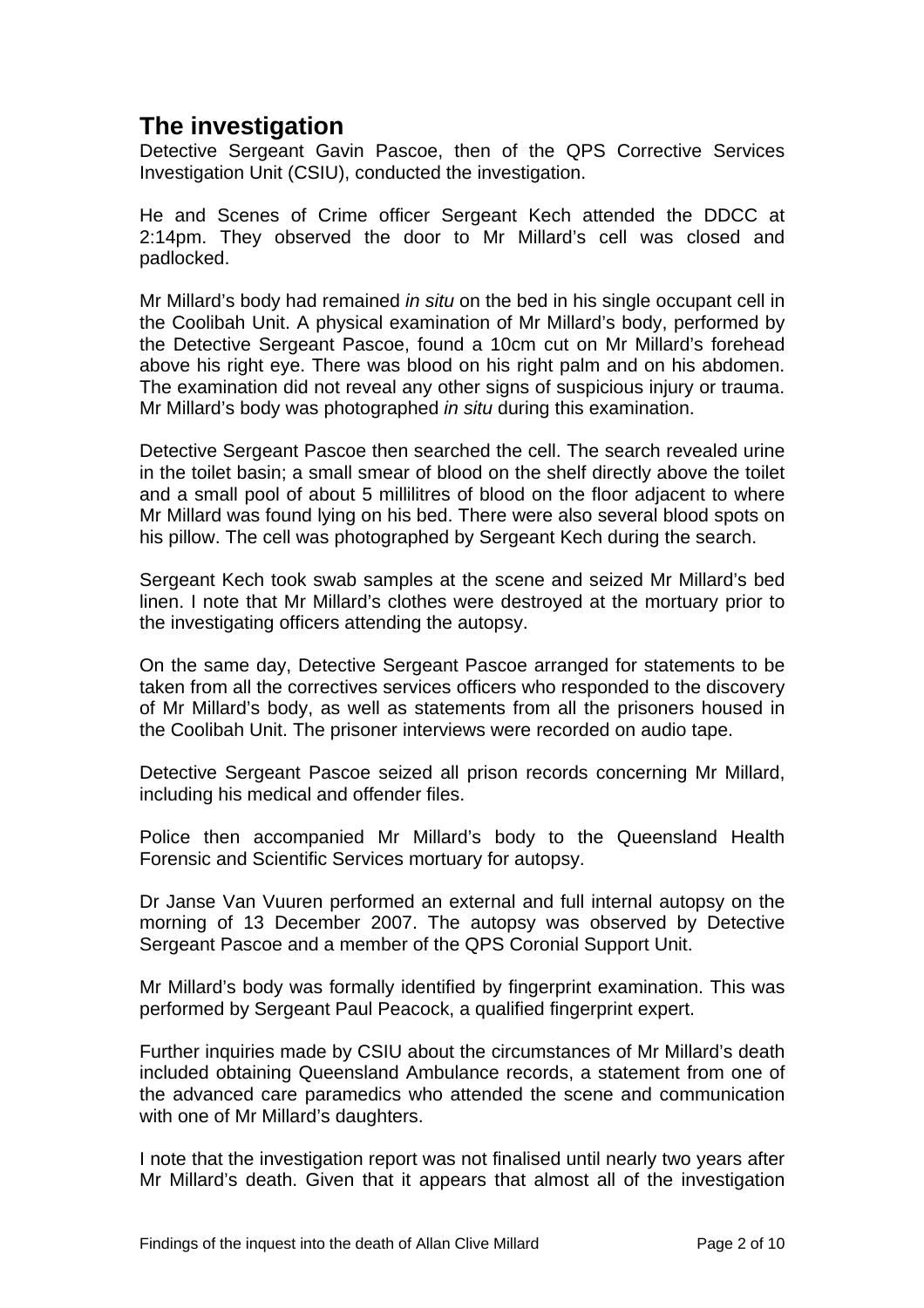# <span id="page-3-0"></span>**The investigation**

Detective Sergeant Gavin Pascoe, then of the QPS Corrective Services Investigation Unit (CSIU), conducted the investigation.

He and Scenes of Crime officer Sergeant Kech attended the DDCC at 2:14pm. They observed the door to Mr Millard's cell was closed and padlocked.

Mr Millard's body had remained *in situ* on the bed in his single occupant cell in the Coolibah Unit. A physical examination of Mr Millard's body, performed by the Detective Sergeant Pascoe, found a 10cm cut on Mr Millard's forehead above his right eye. There was blood on his right palm and on his abdomen. The examination did not reveal any other signs of suspicious injury or trauma. Mr Millard's body was photographed *in situ* during this examination.

Detective Sergeant Pascoe then searched the cell. The search revealed urine in the toilet basin; a small smear of blood on the shelf directly above the toilet and a small pool of about 5 millilitres of blood on the floor adjacent to where Mr Millard was found lying on his bed. There were also several blood spots on his pillow. The cell was photographed by Sergeant Kech during the search.

Sergeant Kech took swab samples at the scene and seized Mr Millard's bed linen. I note that Mr Millard's clothes were destroyed at the mortuary prior to the investigating officers attending the autopsy.

On the same day, Detective Sergeant Pascoe arranged for statements to be taken from all the correctives services officers who responded to the discovery of Mr Millard's body, as well as statements from all the prisoners housed in the Coolibah Unit. The prisoner interviews were recorded on audio tape.

Detective Sergeant Pascoe seized all prison records concerning Mr Millard, including his medical and offender files.

Police then accompanied Mr Millard's body to the Queensland Health Forensic and Scientific Services mortuary for autopsy.

Dr Janse Van Vuuren performed an external and full internal autopsy on the morning of 13 December 2007. The autopsy was observed by Detective Sergeant Pascoe and a member of the QPS Coronial Support Unit.

Mr Millard's body was formally identified by fingerprint examination. This was performed by Sergeant Paul Peacock, a qualified fingerprint expert.

Further inquiries made by CSIU about the circumstances of Mr Millard's death included obtaining Queensland Ambulance records, a statement from one of the advanced care paramedics who attended the scene and communication with one of Mr Millard's daughters.

I note that the investigation report was not finalised until nearly two years after Mr Millard's death. Given that it appears that almost all of the investigation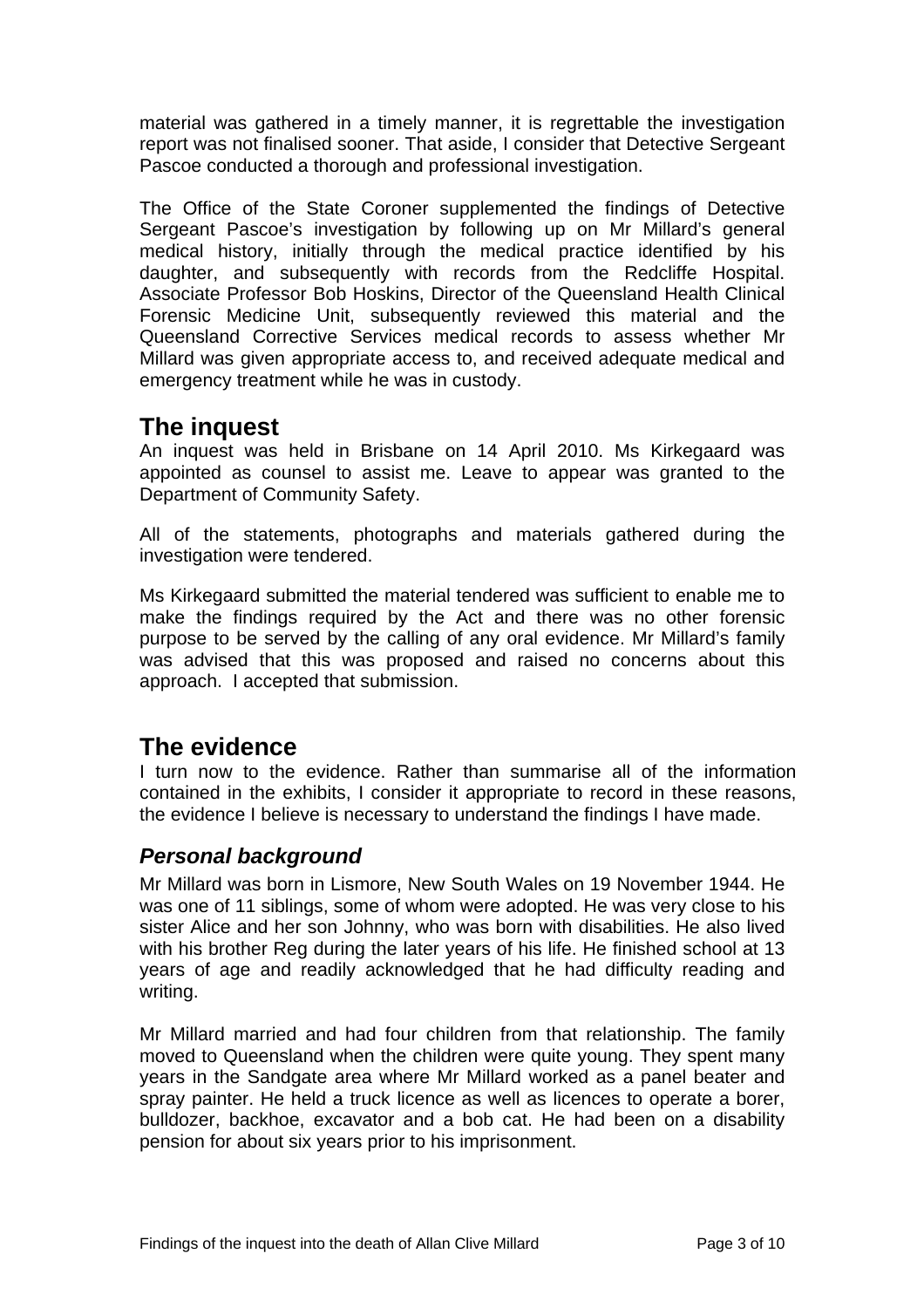<span id="page-4-0"></span>material was gathered in a timely manner, it is regrettable the investigation report was not finalised sooner. That aside, I consider that Detective Sergeant Pascoe conducted a thorough and professional investigation.

The Office of the State Coroner supplemented the findings of Detective Sergeant Pascoe's investigation by following up on Mr Millard's general medical history, initially through the medical practice identified by his daughter, and subsequently with records from the Redcliffe Hospital. Associate Professor Bob Hoskins, Director of the Queensland Health Clinical Forensic Medicine Unit, subsequently reviewed this material and the Queensland Corrective Services medical records to assess whether Mr Millard was given appropriate access to, and received adequate medical and emergency treatment while he was in custody.

# **The inquest**

An inquest was held in Brisbane on 14 April 2010. Ms Kirkegaard was appointed as counsel to assist me. Leave to appear was granted to the Department of Community Safety.

All of the statements, photographs and materials gathered during the investigation were tendered.

Ms Kirkegaard submitted the material tendered was sufficient to enable me to make the findings required by the Act and there was no other forensic purpose to be served by the calling of any oral evidence. Mr Millard's family was advised that this was proposed and raised no concerns about this approach. I accepted that submission.

# **The evidence**

I turn now to the evidence. Rather than summarise all of the information contained in the exhibits, I consider it appropriate to record in these reasons, the evidence I believe is necessary to understand the findings I have made.

## *Personal background*

Mr Millard was born in Lismore, New South Wales on 19 November 1944. He was one of 11 siblings, some of whom were adopted. He was very close to his sister Alice and her son Johnny, who was born with disabilities. He also lived with his brother Reg during the later years of his life. He finished school at 13 years of age and readily acknowledged that he had difficulty reading and writing.

Mr Millard married and had four children from that relationship. The family moved to Queensland when the children were quite young. They spent many years in the Sandgate area where Mr Millard worked as a panel beater and spray painter. He held a truck licence as well as licences to operate a borer, bulldozer, backhoe, excavator and a bob cat. He had been on a disability pension for about six years prior to his imprisonment.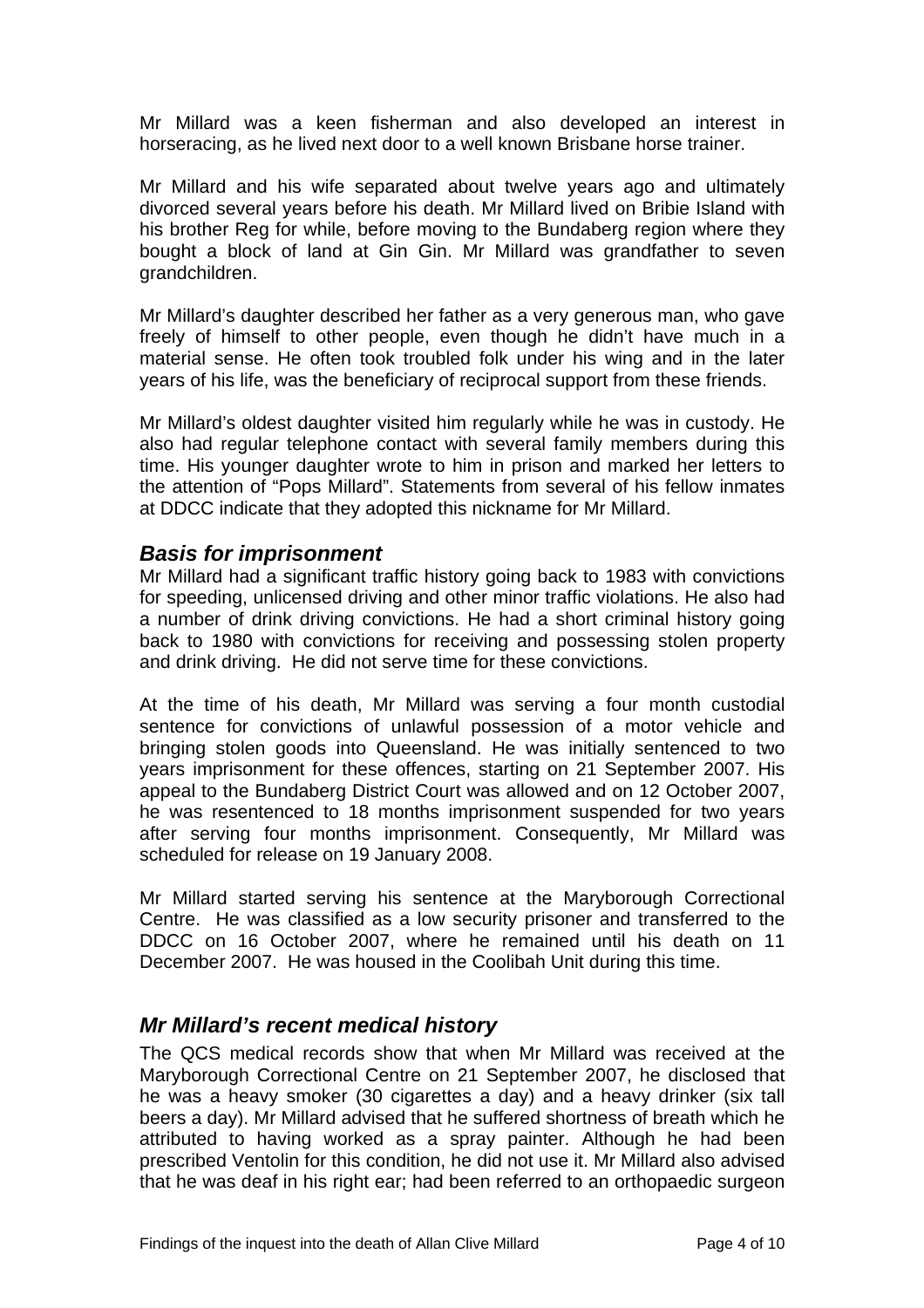<span id="page-5-0"></span>Mr Millard was a keen fisherman and also developed an interest in horseracing, as he lived next door to a well known Brisbane horse trainer.

Mr Millard and his wife separated about twelve years ago and ultimately divorced several years before his death. Mr Millard lived on Bribie Island with his brother Reg for while, before moving to the Bundaberg region where they bought a block of land at Gin Gin. Mr Millard was grandfather to seven grandchildren.

Mr Millard's daughter described her father as a very generous man, who gave freely of himself to other people, even though he didn't have much in a material sense. He often took troubled folk under his wing and in the later years of his life, was the beneficiary of reciprocal support from these friends.

Mr Millard's oldest daughter visited him regularly while he was in custody. He also had regular telephone contact with several family members during this time. His younger daughter wrote to him in prison and marked her letters to the attention of "Pops Millard". Statements from several of his fellow inmates at DDCC indicate that they adopted this nickname for Mr Millard.

#### *Basis for imprisonment*

Mr Millard had a significant traffic history going back to 1983 with convictions for speeding, unlicensed driving and other minor traffic violations. He also had a number of drink driving convictions. He had a short criminal history going back to 1980 with convictions for receiving and possessing stolen property and drink driving. He did not serve time for these convictions.

At the time of his death, Mr Millard was serving a four month custodial sentence for convictions of unlawful possession of a motor vehicle and bringing stolen goods into Queensland. He was initially sentenced to two years imprisonment for these offences, starting on 21 September 2007. His appeal to the Bundaberg District Court was allowed and on 12 October 2007, he was resentenced to 18 months imprisonment suspended for two years after serving four months imprisonment. Consequently, Mr Millard was scheduled for release on 19 January 2008.

Mr Millard started serving his sentence at the Maryborough Correctional Centre. He was classified as a low security prisoner and transferred to the DDCC on 16 October 2007, where he remained until his death on 11 December 2007. He was housed in the Coolibah Unit during this time.

#### *Mr Millard's recent medical history*

The QCS medical records show that when Mr Millard was received at the Maryborough Correctional Centre on 21 September 2007, he disclosed that he was a heavy smoker (30 cigarettes a day) and a heavy drinker (six tall beers a day). Mr Millard advised that he suffered shortness of breath which he attributed to having worked as a spray painter. Although he had been prescribed Ventolin for this condition, he did not use it. Mr Millard also advised that he was deaf in his right ear; had been referred to an orthopaedic surgeon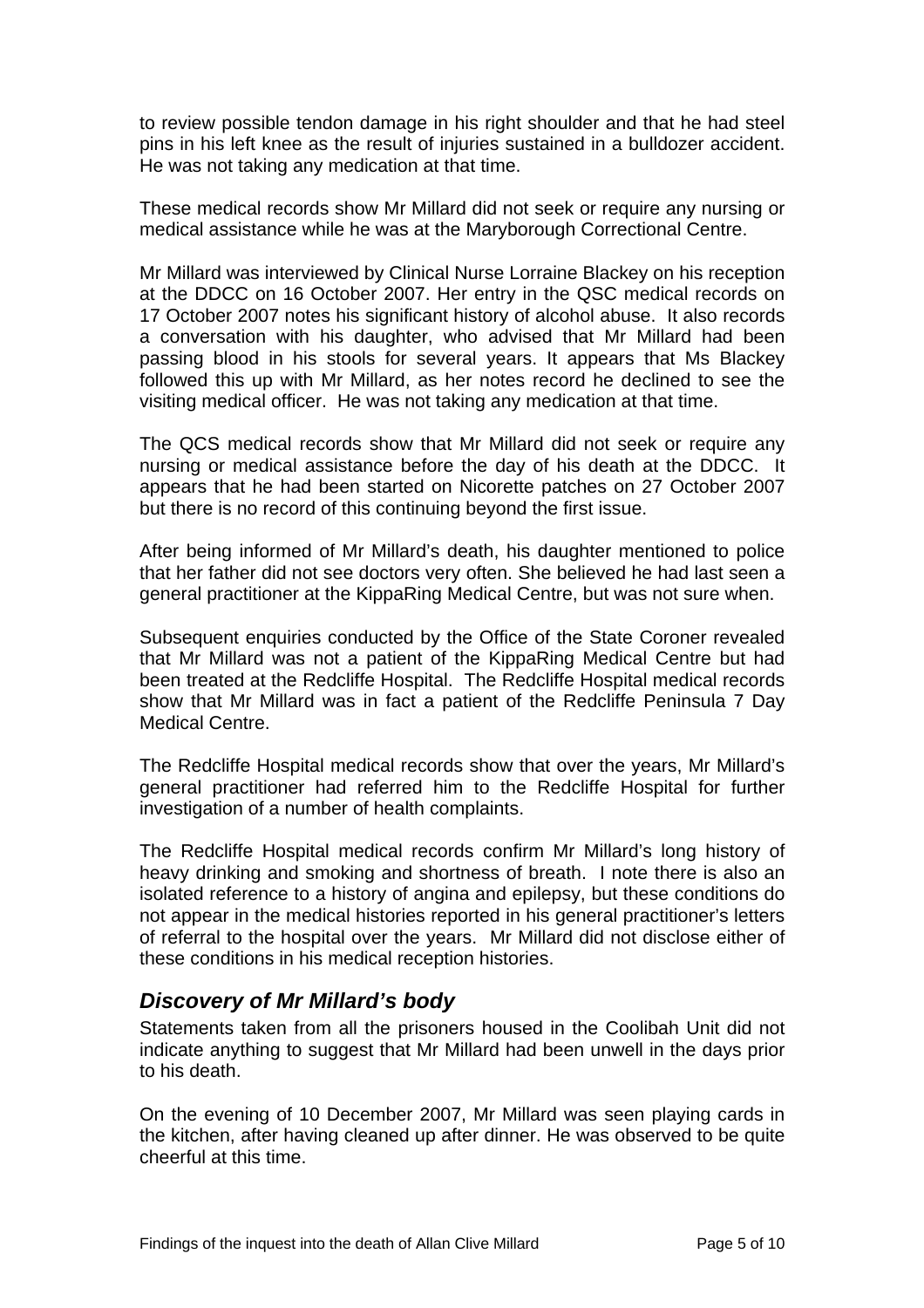<span id="page-6-0"></span>to review possible tendon damage in his right shoulder and that he had steel pins in his left knee as the result of injuries sustained in a bulldozer accident. He was not taking any medication at that time.

These medical records show Mr Millard did not seek or require any nursing or medical assistance while he was at the Maryborough Correctional Centre.

Mr Millard was interviewed by Clinical Nurse Lorraine Blackey on his reception at the DDCC on 16 October 2007. Her entry in the QSC medical records on 17 October 2007 notes his significant history of alcohol abuse. It also records a conversation with his daughter, who advised that Mr Millard had been passing blood in his stools for several years. It appears that Ms Blackey followed this up with Mr Millard, as her notes record he declined to see the visiting medical officer. He was not taking any medication at that time.

The QCS medical records show that Mr Millard did not seek or require any nursing or medical assistance before the day of his death at the DDCC. It appears that he had been started on Nicorette patches on 27 October 2007 but there is no record of this continuing beyond the first issue.

After being informed of Mr Millard's death, his daughter mentioned to police that her father did not see doctors very often. She believed he had last seen a general practitioner at the KippaRing Medical Centre, but was not sure when.

Subsequent enquiries conducted by the Office of the State Coroner revealed that Mr Millard was not a patient of the KippaRing Medical Centre but had been treated at the Redcliffe Hospital. The Redcliffe Hospital medical records show that Mr Millard was in fact a patient of the Redcliffe Peninsula 7 Day Medical Centre.

The Redcliffe Hospital medical records show that over the years, Mr Millard's general practitioner had referred him to the Redcliffe Hospital for further investigation of a number of health complaints.

The Redcliffe Hospital medical records confirm Mr Millard's long history of heavy drinking and smoking and shortness of breath. I note there is also an isolated reference to a history of angina and epilepsy, but these conditions do not appear in the medical histories reported in his general practitioner's letters of referral to the hospital over the years. Mr Millard did not disclose either of these conditions in his medical reception histories.

## *Discovery of Mr Millard's body*

Statements taken from all the prisoners housed in the Coolibah Unit did not indicate anything to suggest that Mr Millard had been unwell in the days prior to his death.

On the evening of 10 December 2007, Mr Millard was seen playing cards in the kitchen, after having cleaned up after dinner. He was observed to be quite cheerful at this time.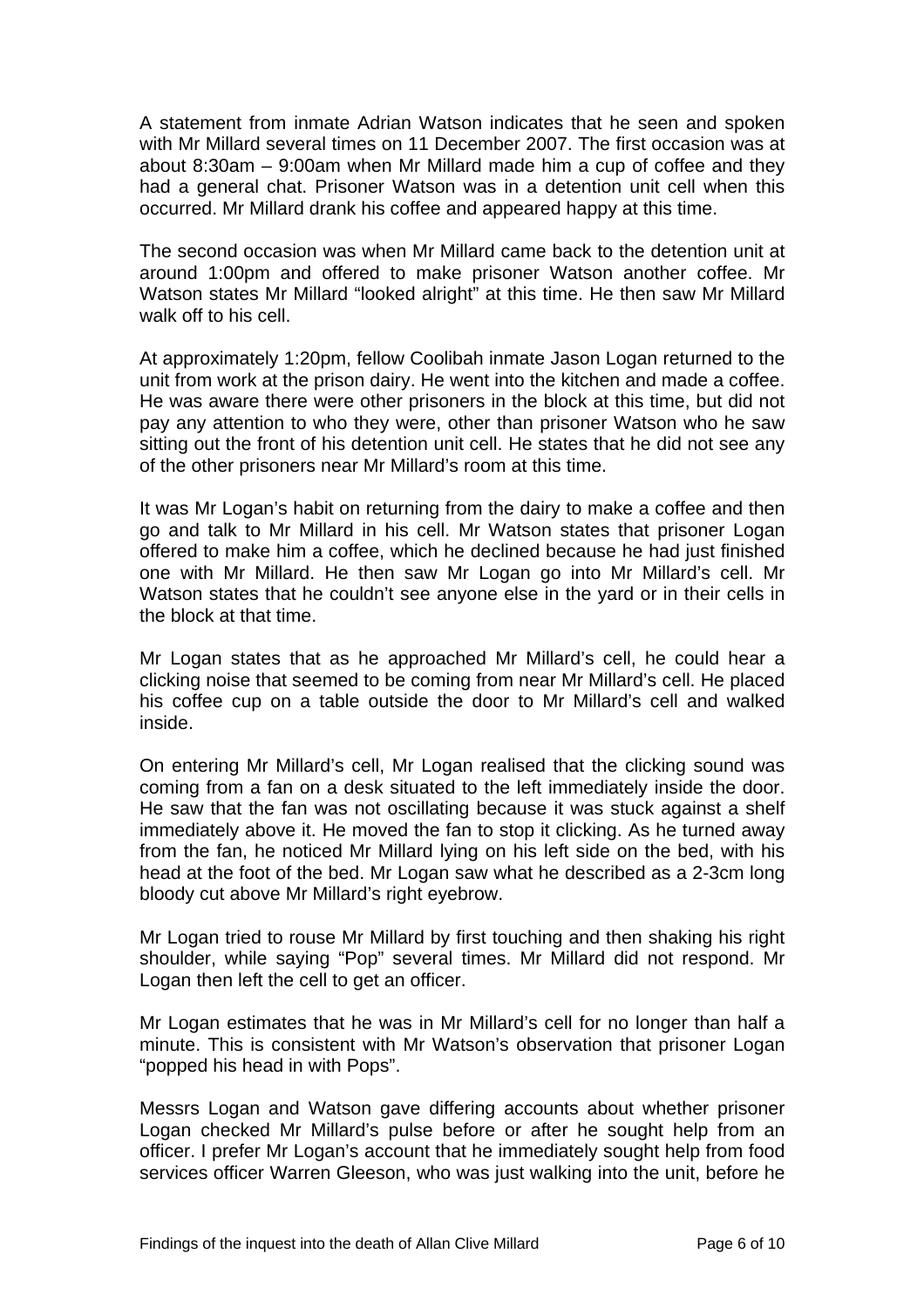A statement from inmate Adrian Watson indicates that he seen and spoken with Mr Millard several times on 11 December 2007. The first occasion was at about 8:30am – 9:00am when Mr Millard made him a cup of coffee and they had a general chat. Prisoner Watson was in a detention unit cell when this occurred. Mr Millard drank his coffee and appeared happy at this time.

The second occasion was when Mr Millard came back to the detention unit at around 1:00pm and offered to make prisoner Watson another coffee. Mr Watson states Mr Millard "looked alright" at this time. He then saw Mr Millard walk off to his cell.

At approximately 1:20pm, fellow Coolibah inmate Jason Logan returned to the unit from work at the prison dairy. He went into the kitchen and made a coffee. He was aware there were other prisoners in the block at this time, but did not pay any attention to who they were, other than prisoner Watson who he saw sitting out the front of his detention unit cell. He states that he did not see any of the other prisoners near Mr Millard's room at this time.

It was Mr Logan's habit on returning from the dairy to make a coffee and then go and talk to Mr Millard in his cell. Mr Watson states that prisoner Logan offered to make him a coffee, which he declined because he had just finished one with Mr Millard. He then saw Mr Logan go into Mr Millard's cell. Mr Watson states that he couldn't see anyone else in the yard or in their cells in the block at that time.

Mr Logan states that as he approached Mr Millard's cell, he could hear a clicking noise that seemed to be coming from near Mr Millard's cell. He placed his coffee cup on a table outside the door to Mr Millard's cell and walked inside.

On entering Mr Millard's cell, Mr Logan realised that the clicking sound was coming from a fan on a desk situated to the left immediately inside the door. He saw that the fan was not oscillating because it was stuck against a shelf immediately above it. He moved the fan to stop it clicking. As he turned away from the fan, he noticed Mr Millard lying on his left side on the bed, with his head at the foot of the bed. Mr Logan saw what he described as a 2-3cm long bloody cut above Mr Millard's right eyebrow.

Mr Logan tried to rouse Mr Millard by first touching and then shaking his right shoulder, while saying "Pop" several times. Mr Millard did not respond. Mr Logan then left the cell to get an officer.

Mr Logan estimates that he was in Mr Millard's cell for no longer than half a minute. This is consistent with Mr Watson's observation that prisoner Logan "popped his head in with Pops".

Messrs Logan and Watson gave differing accounts about whether prisoner Logan checked Mr Millard's pulse before or after he sought help from an officer. I prefer Mr Logan's account that he immediately sought help from food services officer Warren Gleeson, who was just walking into the unit, before he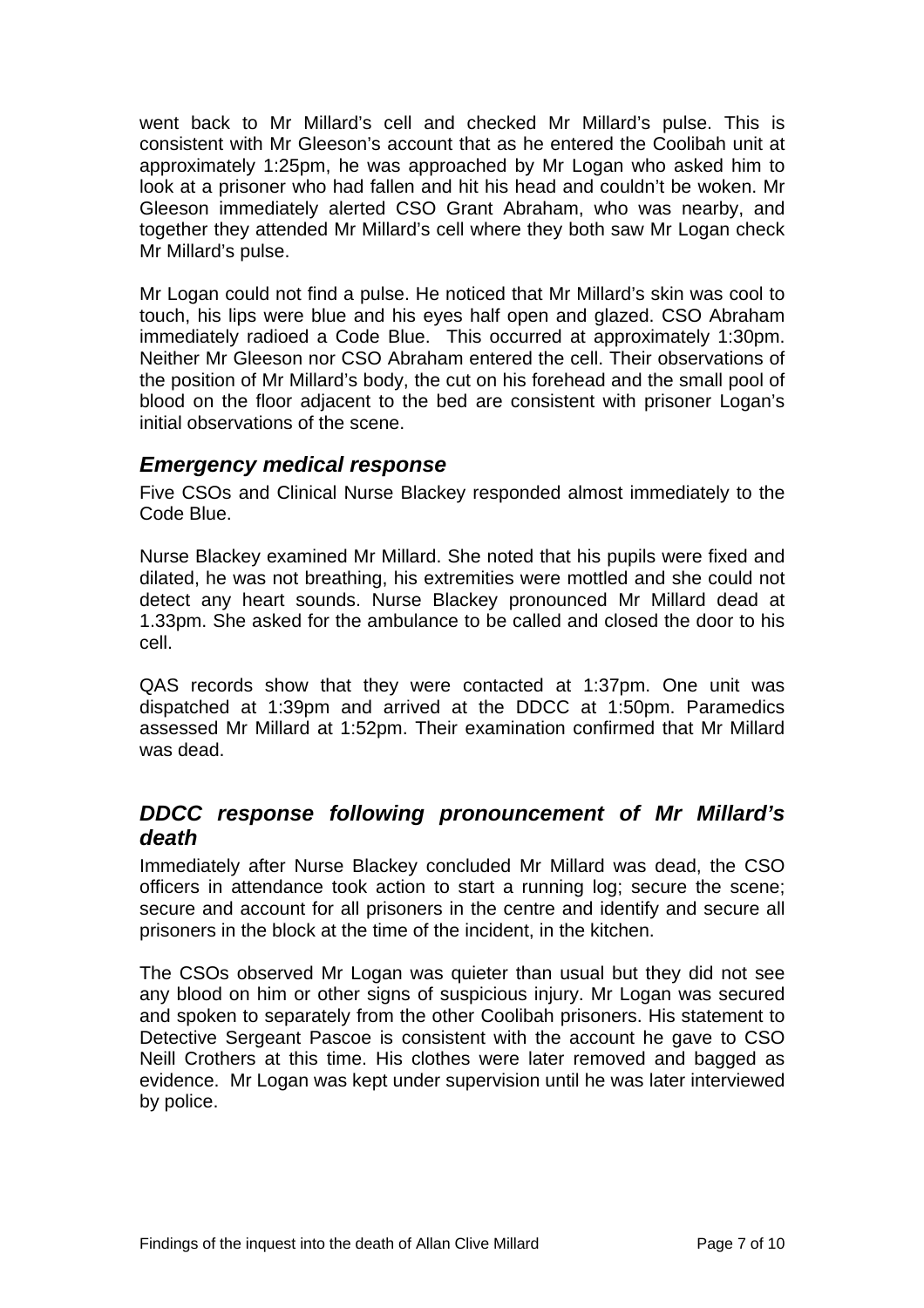<span id="page-8-0"></span>went back to Mr Millard's cell and checked Mr Millard's pulse. This is consistent with Mr Gleeson's account that as he entered the Coolibah unit at approximately 1:25pm, he was approached by Mr Logan who asked him to look at a prisoner who had fallen and hit his head and couldn't be woken. Mr Gleeson immediately alerted CSO Grant Abraham, who was nearby, and together they attended Mr Millard's cell where they both saw Mr Logan check Mr Millard's pulse.

Mr Logan could not find a pulse. He noticed that Mr Millard's skin was cool to touch, his lips were blue and his eyes half open and glazed. CSO Abraham immediately radioed a Code Blue. This occurred at approximately 1:30pm. Neither Mr Gleeson nor CSO Abraham entered the cell. Their observations of the position of Mr Millard's body, the cut on his forehead and the small pool of blood on the floor adjacent to the bed are consistent with prisoner Logan's initial observations of the scene.

#### *Emergency medical response*

Five CSOs and Clinical Nurse Blackey responded almost immediately to the Code Blue.

Nurse Blackey examined Mr Millard. She noted that his pupils were fixed and dilated, he was not breathing, his extremities were mottled and she could not detect any heart sounds. Nurse Blackey pronounced Mr Millard dead at 1.33pm. She asked for the ambulance to be called and closed the door to his cell.

QAS records show that they were contacted at 1:37pm. One unit was dispatched at 1:39pm and arrived at the DDCC at 1:50pm. Paramedics assessed Mr Millard at 1:52pm. Their examination confirmed that Mr Millard was dead.

## *DDCC response following pronouncement of Mr Millard's death*

Immediately after Nurse Blackey concluded Mr Millard was dead, the CSO officers in attendance took action to start a running log; secure the scene; secure and account for all prisoners in the centre and identify and secure all prisoners in the block at the time of the incident, in the kitchen.

The CSOs observed Mr Logan was quieter than usual but they did not see any blood on him or other signs of suspicious injury. Mr Logan was secured and spoken to separately from the other Coolibah prisoners. His statement to Detective Sergeant Pascoe is consistent with the account he gave to CSO Neill Crothers at this time. His clothes were later removed and bagged as evidence. Mr Logan was kept under supervision until he was later interviewed by police.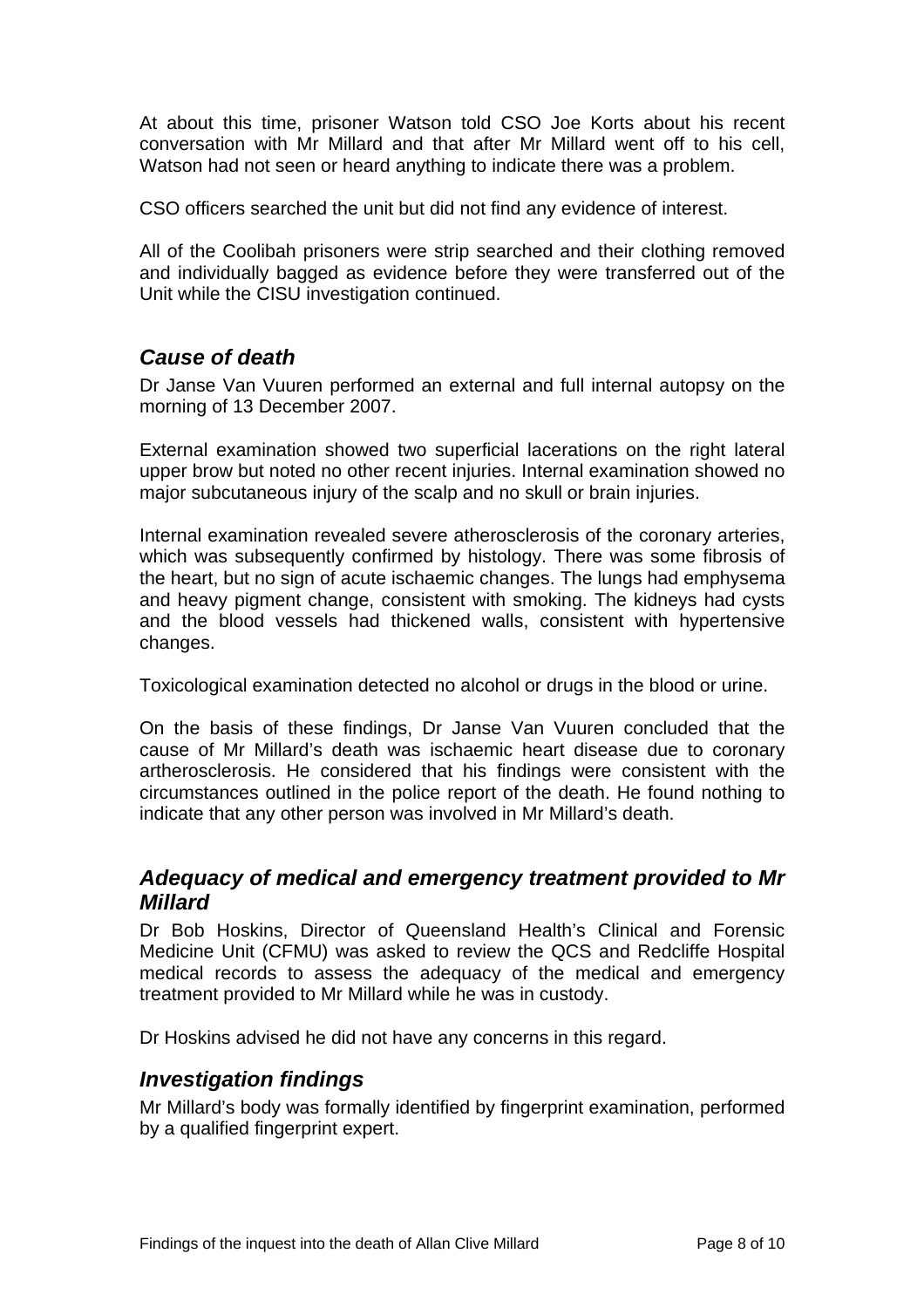<span id="page-9-0"></span>At about this time, prisoner Watson told CSO Joe Korts about his recent conversation with Mr Millard and that after Mr Millard went off to his cell, Watson had not seen or heard anything to indicate there was a problem.

CSO officers searched the unit but did not find any evidence of interest.

All of the Coolibah prisoners were strip searched and their clothing removed and individually bagged as evidence before they were transferred out of the Unit while the CISU investigation continued.

## *Cause of death*

Dr Janse Van Vuuren performed an external and full internal autopsy on the morning of 13 December 2007.

External examination showed two superficial lacerations on the right lateral upper brow but noted no other recent injuries. Internal examination showed no major subcutaneous injury of the scalp and no skull or brain injuries.

Internal examination revealed severe atherosclerosis of the coronary arteries, which was subsequently confirmed by histology. There was some fibrosis of the heart, but no sign of acute ischaemic changes. The lungs had emphysema and heavy pigment change, consistent with smoking. The kidneys had cysts and the blood vessels had thickened walls, consistent with hypertensive changes.

Toxicological examination detected no alcohol or drugs in the blood or urine.

On the basis of these findings, Dr Janse Van Vuuren concluded that the cause of Mr Millard's death was ischaemic heart disease due to coronary artherosclerosis. He considered that his findings were consistent with the circumstances outlined in the police report of the death. He found nothing to indicate that any other person was involved in Mr Millard's death.

#### *Adequacy of medical and emergency treatment provided to Mr Millard*

Dr Bob Hoskins, Director of Queensland Health's Clinical and Forensic Medicine Unit (CFMU) was asked to review the QCS and Redcliffe Hospital medical records to assess the adequacy of the medical and emergency treatment provided to Mr Millard while he was in custody.

Dr Hoskins advised he did not have any concerns in this regard.

#### *Investigation findings*

Mr Millard's body was formally identified by fingerprint examination, performed by a qualified fingerprint expert.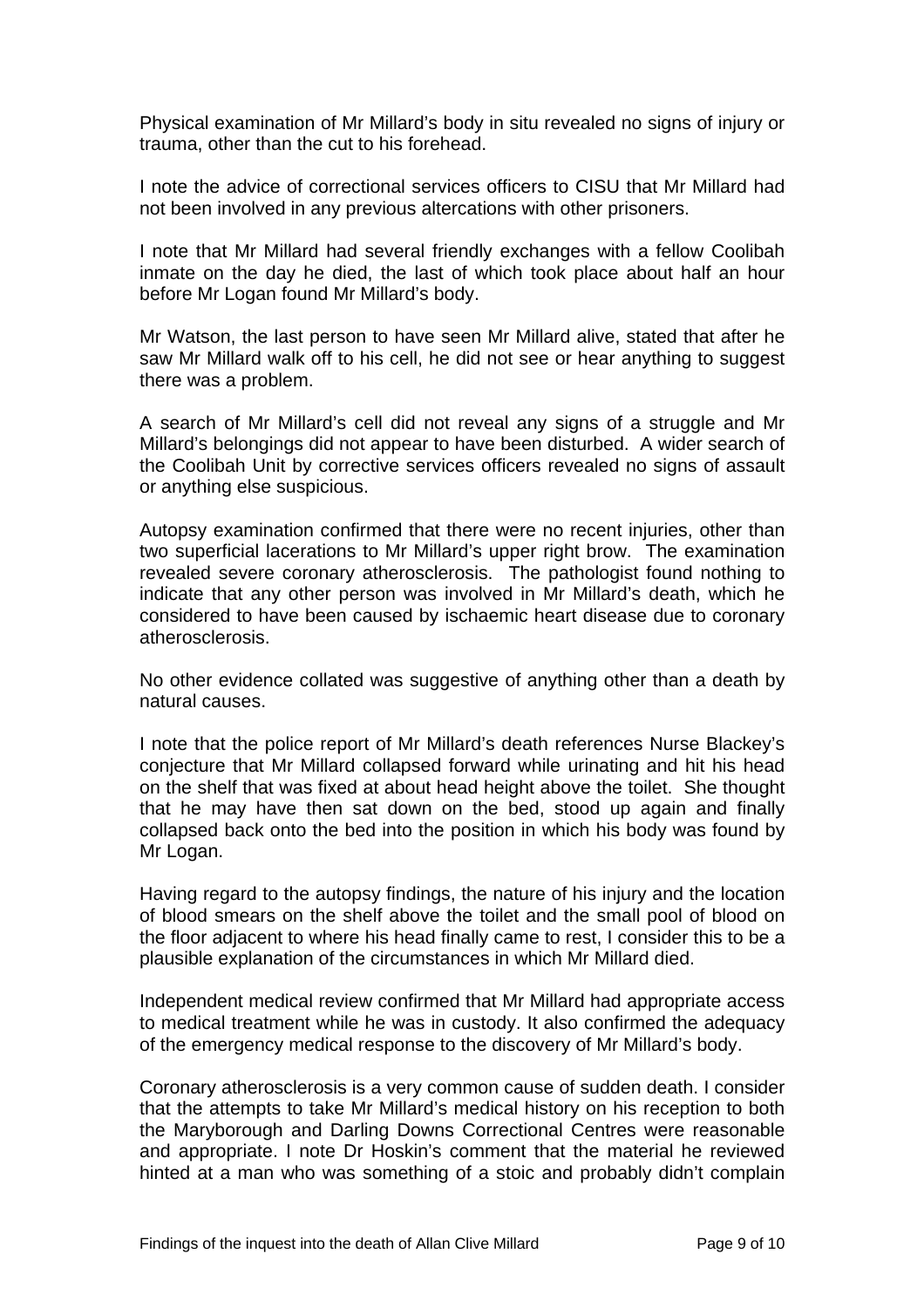Physical examination of Mr Millard's body in situ revealed no signs of injury or trauma, other than the cut to his forehead.

I note the advice of correctional services officers to CISU that Mr Millard had not been involved in any previous altercations with other prisoners.

I note that Mr Millard had several friendly exchanges with a fellow Coolibah inmate on the day he died, the last of which took place about half an hour before Mr Logan found Mr Millard's body.

Mr Watson, the last person to have seen Mr Millard alive, stated that after he saw Mr Millard walk off to his cell, he did not see or hear anything to suggest there was a problem.

A search of Mr Millard's cell did not reveal any signs of a struggle and Mr Millard's belongings did not appear to have been disturbed. A wider search of the Coolibah Unit by corrective services officers revealed no signs of assault or anything else suspicious.

Autopsy examination confirmed that there were no recent injuries, other than two superficial lacerations to Mr Millard's upper right brow. The examination revealed severe coronary atherosclerosis. The pathologist found nothing to indicate that any other person was involved in Mr Millard's death, which he considered to have been caused by ischaemic heart disease due to coronary atherosclerosis.

No other evidence collated was suggestive of anything other than a death by natural causes.

I note that the police report of Mr Millard's death references Nurse Blackey's conjecture that Mr Millard collapsed forward while urinating and hit his head on the shelf that was fixed at about head height above the toilet. She thought that he may have then sat down on the bed, stood up again and finally collapsed back onto the bed into the position in which his body was found by Mr Logan.

Having regard to the autopsy findings, the nature of his injury and the location of blood smears on the shelf above the toilet and the small pool of blood on the floor adjacent to where his head finally came to rest, I consider this to be a plausible explanation of the circumstances in which Mr Millard died.

Independent medical review confirmed that Mr Millard had appropriate access to medical treatment while he was in custody. It also confirmed the adequacy of the emergency medical response to the discovery of Mr Millard's body.

Coronary atherosclerosis is a very common cause of sudden death. I consider that the attempts to take Mr Millard's medical history on his reception to both the Maryborough and Darling Downs Correctional Centres were reasonable and appropriate. I note Dr Hoskin's comment that the material he reviewed hinted at a man who was something of a stoic and probably didn't complain